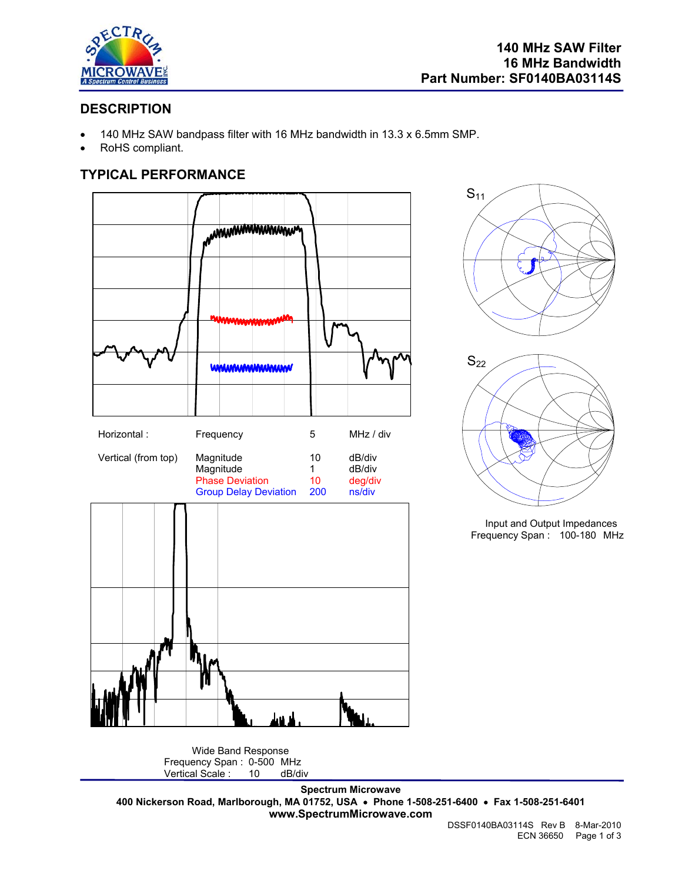

# **DESCRIPTION**

- 140 MHz SAW bandpass filter with 16 MHz bandwidth in 13.3 x 6.5mm SMP.
- RoHS compliant.

## **TYPICAL PERFORMANCE**







Input and Output Impedances Frequency Span : 100-180 MHz

Wide Band Response Frequency Span : 0-500 MHz<br>Vertical Scale : 10 dB/di Vertical Scale : 10 dB/div

**Spectrum Microwave 400 Nickerson Road, Marlborough, MA 01752, USA** • **Phone 1-508-251-6400** • **Fax 1-508-251-6401 www.SpectrumMicrowave.com**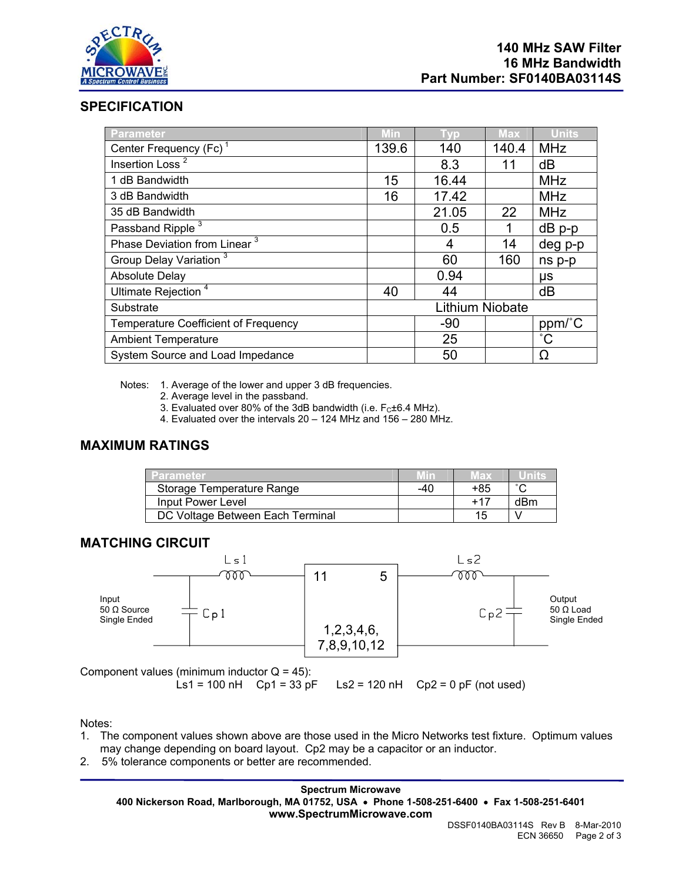

# **SPECIFICATION**

| Parameter                                   | Min             | Tvp   | <b>Max</b> | <b>Units</b> |
|---------------------------------------------|-----------------|-------|------------|--------------|
| Center Frequency (Fc) <sup>1</sup>          | 139.6           | 140   | 140.4      | <b>MHz</b>   |
| Insertion Loss $^2$                         |                 | 8.3   | 11         | dB           |
| 1 dB Bandwidth                              | 15              | 16.44 |            | <b>MHz</b>   |
| 3 dB Bandwidth                              | 16              | 17.42 |            | <b>MHz</b>   |
| 35 dB Bandwidth                             |                 | 21.05 | 22         | <b>MHz</b>   |
| Passband Ripple <sup>3</sup>                |                 | 0.5   | 1          | $dB$ p-p     |
| Phase Deviation from Linear <sup>3</sup>    |                 | 4     | 14         | deg p-p      |
| Group Delay Variation <sup>3</sup>          |                 | 60    | 160        | ns p-p       |
| <b>Absolute Delay</b>                       |                 | 0.94  |            | μs           |
| Ultimate Rejection <sup>4</sup>             | 40              | 44    |            | dB           |
| Substrate                                   | Lithium Niobate |       |            |              |
| <b>Temperature Coefficient of Frequency</b> |                 | $-90$ |            | ppm/°C       |
| <b>Ambient Temperature</b>                  |                 | 25    |            | $^{\circ}$ C |
| System Source and Load Impedance            |                 | 50    |            | Ω            |

Notes: 1. Average of the lower and upper 3 dB frequencies.

- 2. Average level in the passband.
- 3. Evaluated over 80% of the 3dB bandwidth (i.e.  $F_C \pm 6.4$  MHz).
- 4. Evaluated over the intervals 20 124 MHz and 156 280 MHz.

### **MAXIMUM RATINGS**

| Parameter                        |     | Max   |        |
|----------------------------------|-----|-------|--------|
| Storage Temperature Range        | -40 | +85   | $\sim$ |
| Input Power Level                |     | $+17$ | dBm    |
| DC Voltage Between Each Terminal |     | 15.   |        |

#### **MATCHING CIRCUIT**



Component values (minimum inductor  $Q = 45$ ):

Ls1 = 100 nH Cp1 = 33 pF Ls2 = 120 nH Cp2 = 0 pF (not used)

Notes:

- 1. The component values shown above are those used in the Micro Networks test fixture. Optimum values may change depending on board layout. Cp2 may be a capacitor or an inductor.
- 2. 5% tolerance components or better are recommended.

**Spectrum Microwave 400 Nickerson Road, Marlborough, MA 01752, USA** • **Phone 1-508-251-6400** • **Fax 1-508-251-6401 www.SpectrumMicrowave.com**